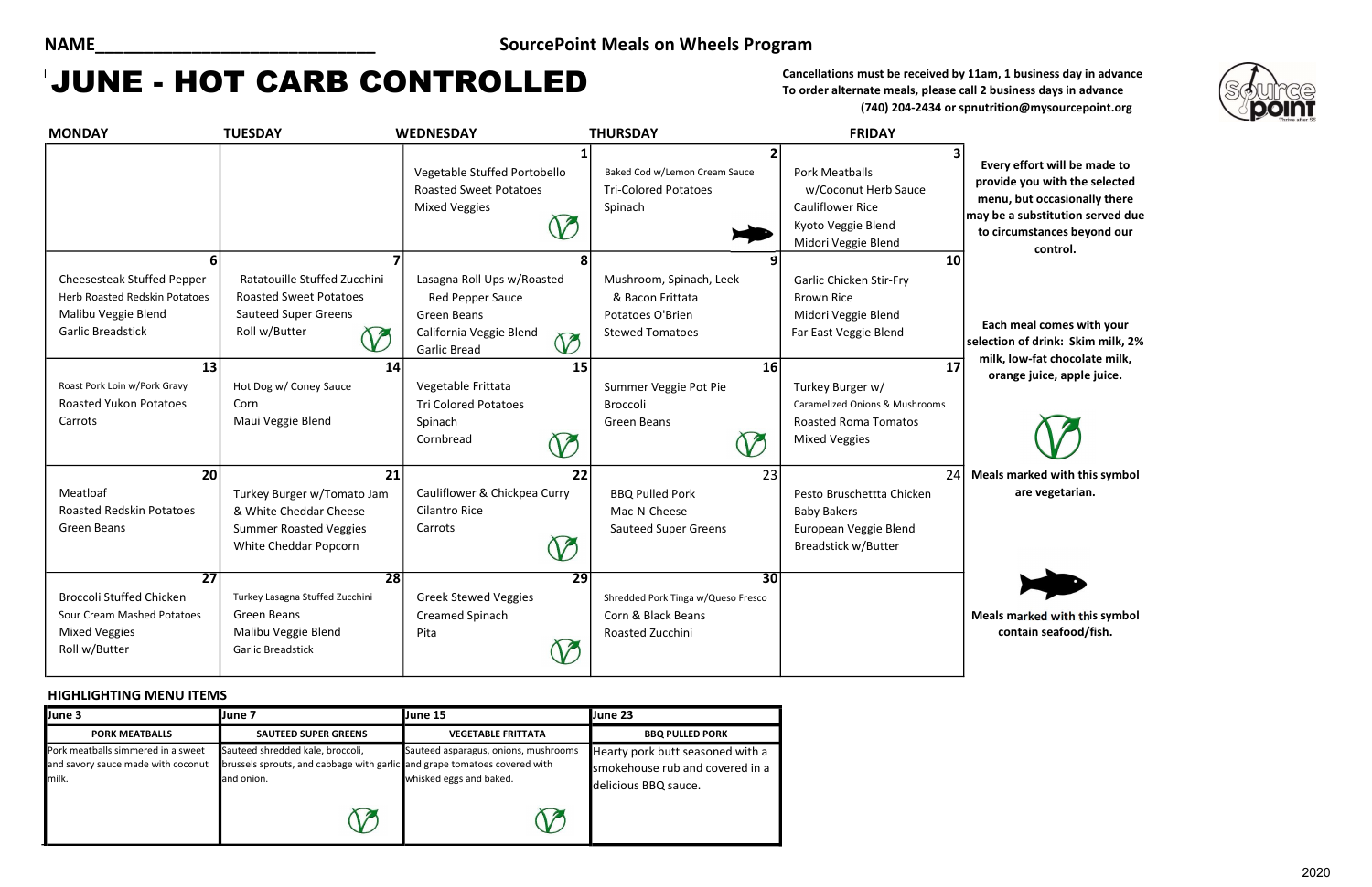# MAY Cancellations must be received by 11am, 1 business day in advance JUNE - HOT CARB CONTROLLED

effort will be made to le you with the selected but occasionally there **s** substitution served due tumstances beyond our control.

meal comes with your n of drink: Skim milk, 2% low-fat chocolate milk, nge juice, apple juice.



To order alternate meals, please call 2 business days in advance (740) 204-2434 or spnutrition@mysourcepoint.org

#### HIGHLIGHTING MENU ITEMS

| <b>MONDAY</b>                                                                                                              | <b>TUESDAY</b>                                                                                                                           | <b>WEDNESDAY</b>                                                                                                                                | <b>THURSDAY</b>                                                                                 | <b>FRIDAY</b>                                                                                                              |                                                         |
|----------------------------------------------------------------------------------------------------------------------------|------------------------------------------------------------------------------------------------------------------------------------------|-------------------------------------------------------------------------------------------------------------------------------------------------|-------------------------------------------------------------------------------------------------|----------------------------------------------------------------------------------------------------------------------------|---------------------------------------------------------|
|                                                                                                                            |                                                                                                                                          | Vegetable Stuffed Portobello<br><b>Roasted Sweet Potatoes</b><br><b>Mixed Veggies</b><br>$\mathcal V$                                           | 2<br>Baked Cod w/Lemon Cream Sauce<br><b>Tri-Colored Potatoes</b><br>Spinach                    | <b>Pork Meatballs</b><br>w/Coconut Herb Sauce<br><b>Cauliflower Rice</b><br>Kyoto Veggie Blend<br>Midori Veggie Blend      | <b>Every</b><br>provide<br>menu,<br>may be a<br>to circ |
| 6<br><b>Cheesesteak Stuffed Pepper</b><br>Herb Roasted Redskin Potatoes<br>Malibu Veggie Blend<br><b>Garlic Breadstick</b> | $\overline{\mathbf{z}}$<br>Ratatouille Stuffed Zucchini<br><b>Roasted Sweet Potatoes</b><br><b>Sauteed Super Greens</b><br>Roll w/Butter | 8<br>Lasagna Roll Ups w/Roasted<br><b>Red Pepper Sauce</b><br><b>Green Beans</b><br>California Veggie Blend<br>$\oslash$<br><b>Garlic Bread</b> | Mushroom, Spinach, Leek<br>& Bacon Frittata<br>Potatoes O'Brien<br><b>Stewed Tomatoes</b>       | 10<br><b>Garlic Chicken Stir-Fry</b><br><b>Brown Rice</b><br>Midori Veggie Blend<br>Far East Veggie Blend                  | Each r<br>selection<br>milk, l                          |
| 13<br>Roast Pork Loin w/Pork Gravy<br><b>Roasted Yukon Potatoes</b><br>Carrots                                             | 14<br>Hot Dog w/ Coney Sauce<br>Corn<br>Maui Veggie Blend                                                                                | 15<br>Vegetable Frittata<br><b>Tri Colored Potatoes</b><br>Spinach<br>Cornbread<br>$\mathcal V$                                                 | 16<br>Summer Veggie Pot Pie<br><b>Broccoli</b><br><b>Green Beans</b>                            | 17<br>Turkey Burger w/<br><b>Caramelized Onions &amp; Mushrooms</b><br><b>Roasted Roma Tomatos</b><br><b>Mixed Veggies</b> | oran                                                    |
| 20<br>Meatloaf<br><b>Roasted Redskin Potatoes</b><br>Green Beans                                                           | 21<br>Turkey Burger w/Tomato Jam<br>& White Cheddar Cheese<br><b>Summer Roasted Veggies</b><br>White Cheddar Popcorn                     | 22<br>Cauliflower & Chickpea Curry<br><b>Cilantro Rice</b><br>Carrots<br>$\bigvee$                                                              | 23<br><b>BBQ Pulled Pork</b><br>Mac-N-Cheese<br><b>Sauteed Super Greens</b>                     | 24<br>Pesto Bruschettta Chicken<br><b>Baby Bakers</b><br>European Veggie Blend<br>Breadstick w/Butter                      | <b>Meals</b> n                                          |
| $\overline{27}$<br><b>Broccoli Stuffed Chicken</b><br>Sour Cream Mashed Potatoes<br><b>Mixed Veggies</b><br>Roll w/Butter  | $\overline{28}$<br>Turkey Lasagna Stuffed Zucchini<br><b>Green Beans</b><br>Malibu Veggie Blend<br><b>Garlic Breadstick</b>              | $\overline{29}$<br><b>Greek Stewed Veggies</b><br>Creamed Spinach<br>Pita                                                                       | $\overline{30}$<br>Shredded Pork Tinga w/Queso Fresco<br>Corn & Black Beans<br>Roasted Zucchini |                                                                                                                            | <b>Meals</b> n<br><b>COI</b>                            |

marked with this symbol are vegetarian.

marked with this symbol ntain seafood/fish.

### NAME\_\_\_\_\_\_\_\_\_\_\_\_\_\_\_\_\_\_\_\_\_\_\_\_\_\_\_\_\_ SourcePoint Meals on Wheels Program

| June 3                                                                            | June 7                                                                                                                      | June 15                                                         | <b>Uune 23</b>                                                                              |  |
|-----------------------------------------------------------------------------------|-----------------------------------------------------------------------------------------------------------------------------|-----------------------------------------------------------------|---------------------------------------------------------------------------------------------|--|
| <b>PORK MEATBALLS</b>                                                             | <b>SAUTEED SUPER GREENS</b>                                                                                                 | <b>VEGETABLE FRITTATA</b>                                       | <b>BBQ PULLED PORK</b>                                                                      |  |
| Pork meatballs simmered in a sweet<br>and savory sauce made with coconut<br>milk. | Sauteed shredded kale, broccoli,<br>brussels sprouts, and cabbage with garlic and grape tomatoes covered with<br>and onion. | Sauteed asparagus, onions, mushrooms<br>whisked eggs and baked. | Hearty pork butt seasoned with a<br>smokehouse rub and covered in a<br>delicious BBQ sauce. |  |
|                                                                                   | V                                                                                                                           |                                                                 |                                                                                             |  |